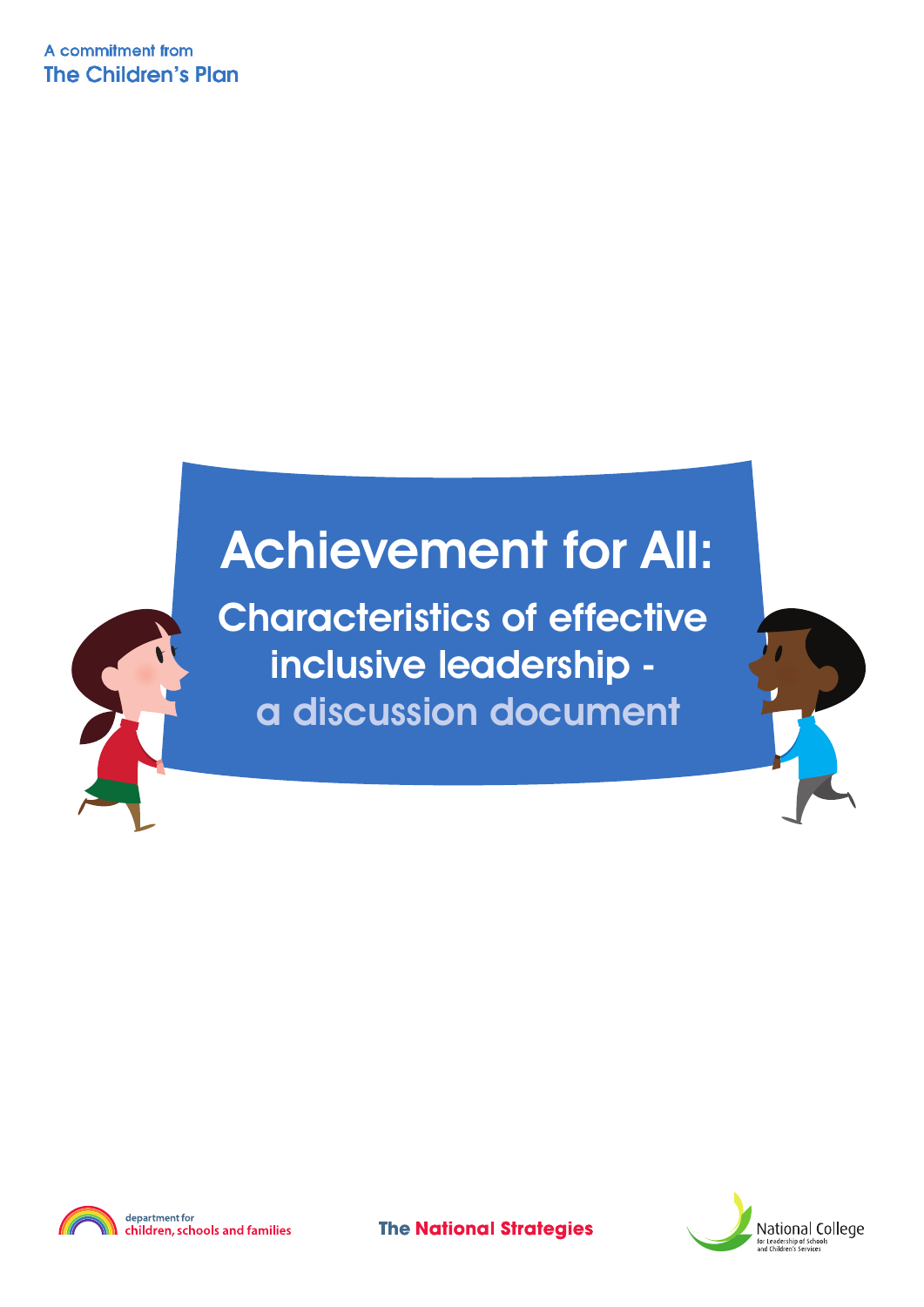A commitment from **The Children's Plan** 

#### **Achievement for All:**

**Characteristics of effective inclusive leadership a discussion document**





children, schools and families

**The National Strategies** 

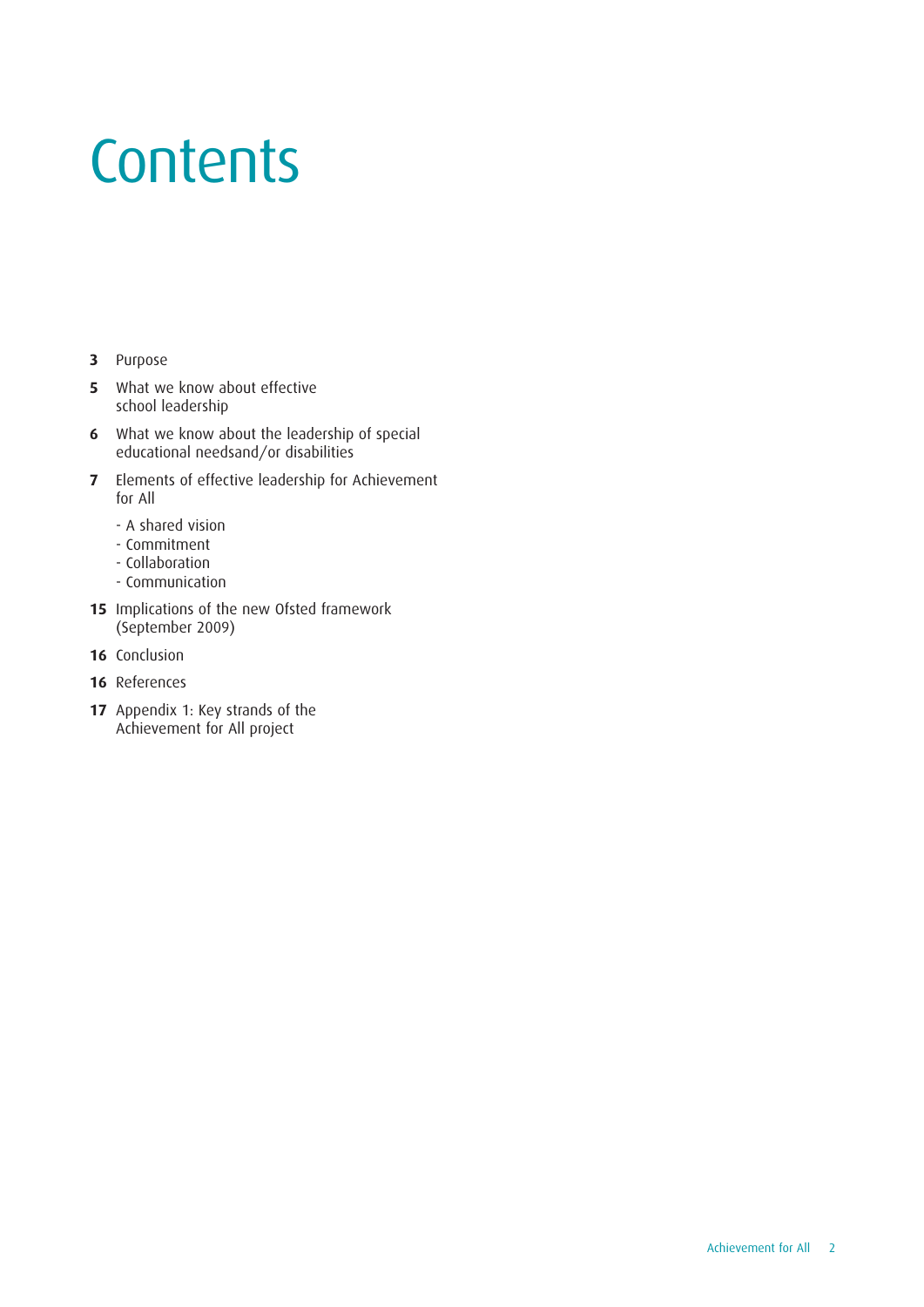# **Contents**

- **3** [Purpose](#page-2-0)
- **5** What we know about effective school [leadership](#page-4-0)
- **6** What we know about the leadership of special educational [needsand/or](#page-5-0) disabilities
- **7** Elements of effective leadership for [Achievement](#page-6-0) for All
	- A shared vision
	- Commitment
	- Collaboration
	- Communication
- **15** [Implications](#page-14-0) of the new Ofsted framework (September 2009)
- **16** [Conclusion](#page-15-0)
- **16** [References](#page-15-0)
- **17** Appendix 1: Key strands of the [Achievement](#page-16-0) for All project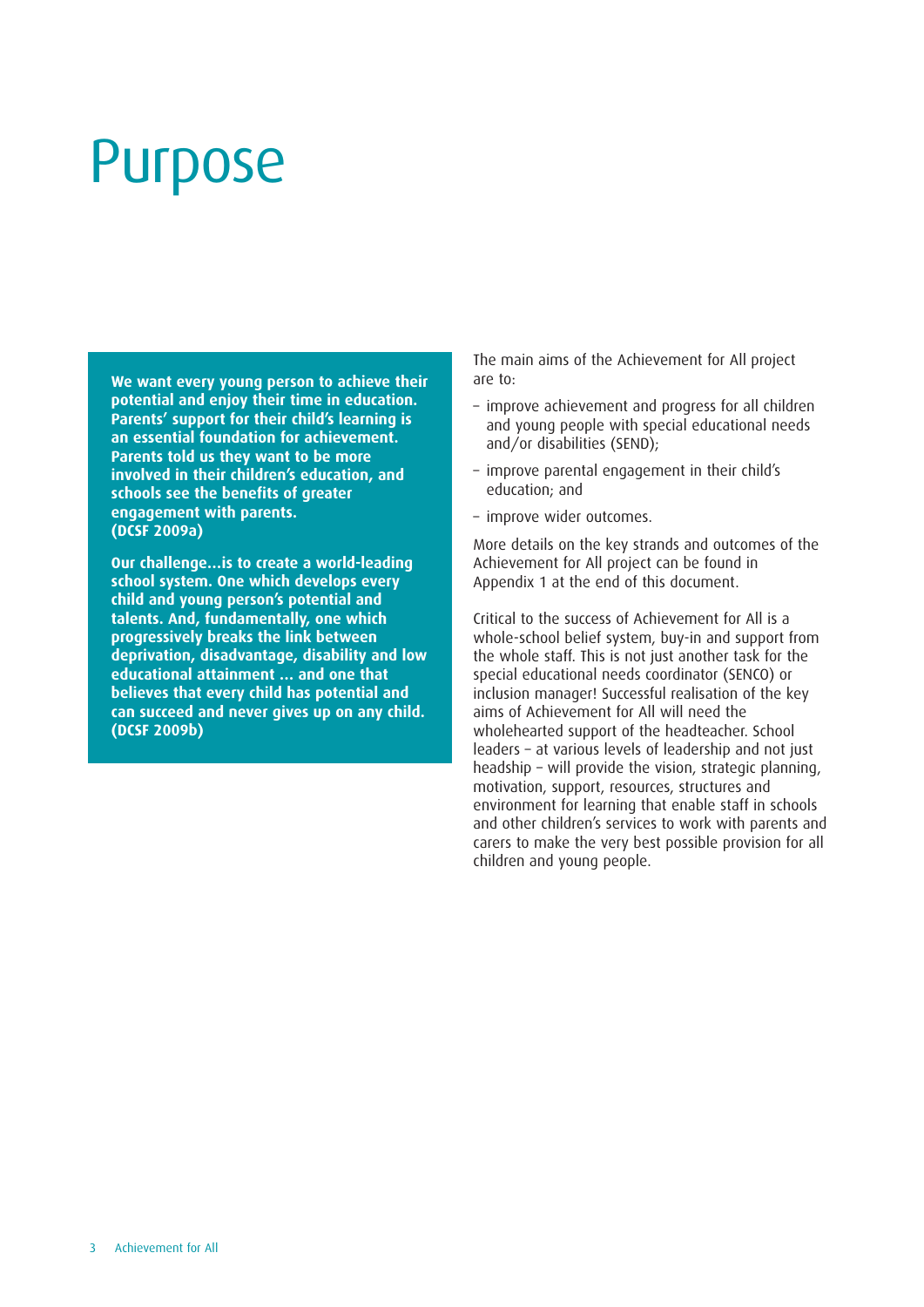#### <span id="page-2-0"></span>Purpose

**We want every young person to achieve their potential and enjoy their time in education. Parents' support for their child's learning is an essential foundation for achievement. Parents told us they want to be more involved in their children's education, and schools see the benefits of greater engagement with parents. (DCSF 2009a)**

**Our challenge…is to create a world-leading school system. One which develops every child and young person's potential and talents. And, fundamentally, one which progressively breaks the link between deprivation, disadvantage, disability and low educational attainment … and one that believes that every child has potential and can succeed and never gives up on any child. (DCSF 2009b)**

The main aims of the Achievement for All project are to:

- improve achievement and progress for all children and young people with special educational needs and/or disabilities (SEND);
- improve parental engagement in their child's education; and
- improve wider outcomes.

More details on the key strands and outcomes of the Achievement for All project can be found in Appendix 1 at the end of this document.

Critical to the success of Achievement for All is a whole-school belief system, buy-in and support from the whole staff. This is not just another task for the special educational needs coordinator (SENCO) or inclusion manager! Successful realisation of the key aims of Achievement for All will need the wholehearted support of the headteacher. School leaders – at various levels of leadership and not just headship – will provide the vision, strategic planning, motivation, support, resources, structures and environment for learning that enable staff in schools and other children's services to work with parents and carers to make the very best possible provision for all children and young people.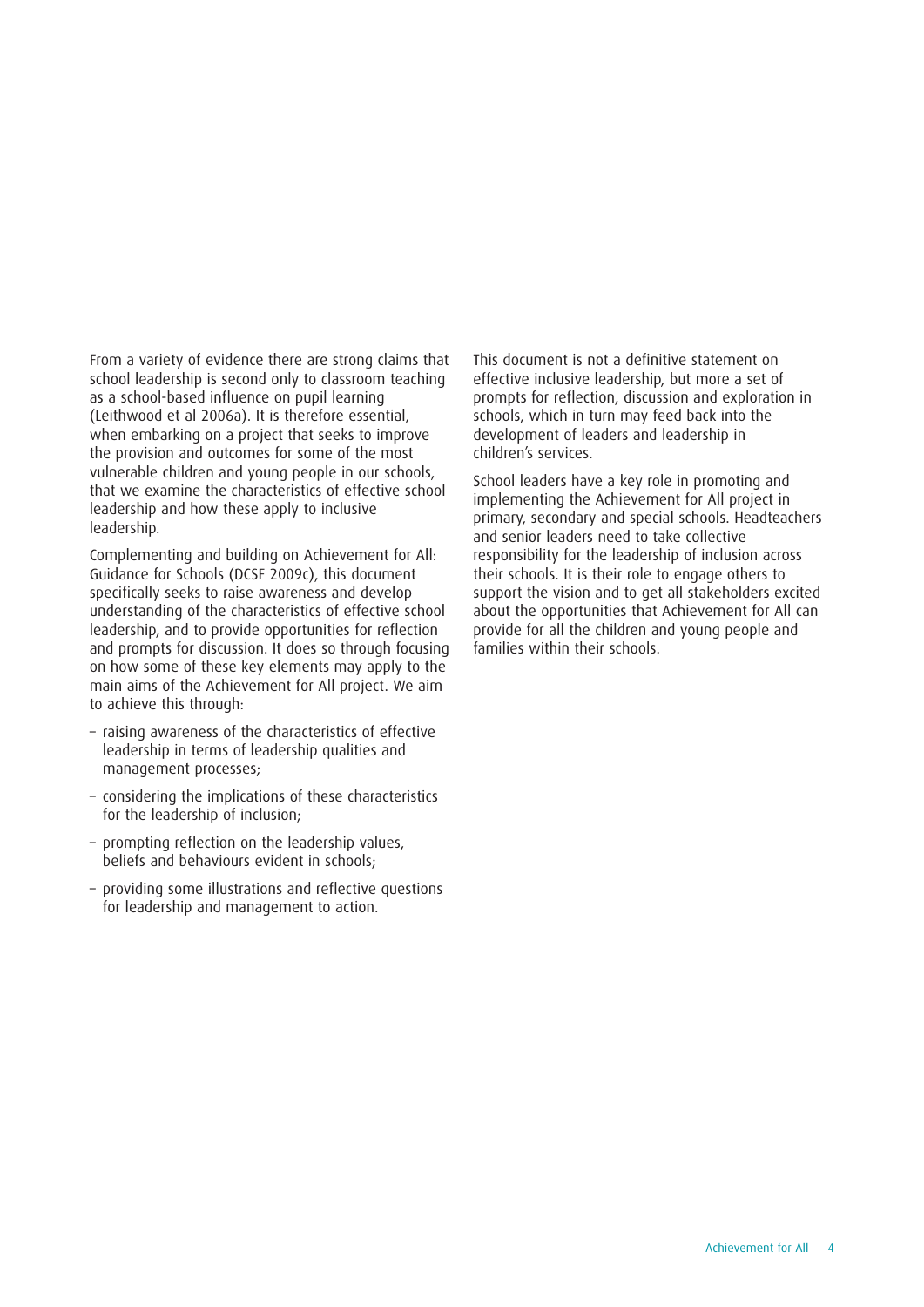From a variety of evidence there are strong claims that school leadership is second only to classroom teaching as a school-based influence on pupil learning (Leithwood et al 2006a). It is therefore essential, when embarking on a project that seeks to improve the provision and outcomes for some of the most vulnerable children and young people in our schools, that we examine the characteristics of effective school leadership and how these apply to inclusive leadership.

Complementing and building on Achievement for All: Guidance for Schools (DCSF 2009c), this document specifically seeks to raise awareness and develop understanding of the characteristics of effective school leadership, and to provide opportunities for reflection and prompts for discussion. It does so through focusing on how some of these key elements may apply to the main aims of the Achievement for All project. We aim to achieve this through:

- raising awareness of the characteristics of effective leadership in terms of leadership qualities and management processes;
- considering the implications of these characteristics for the leadership of inclusion;
- prompting reflection on the leadership values, beliefs and behaviours evident in schools;
- providing some illustrations and reflective questions for leadership and management to action.

This document is not a definitive statement on effective inclusive leadership, but more a set of prompts for reflection, discussion and exploration in schools, which in turn may feed back into the development of leaders and leadership in children's services.

School leaders have a key role in promoting and implementing the Achievement for All project in primary, secondary and special schools. Headteachers and senior leaders need to take collective responsibility for the leadership of inclusion across their schools. It is their role to engage others to support the vision and to get all stakeholders excited about the opportunities that Achievement for All can provide for all the children and young people and families within their schools.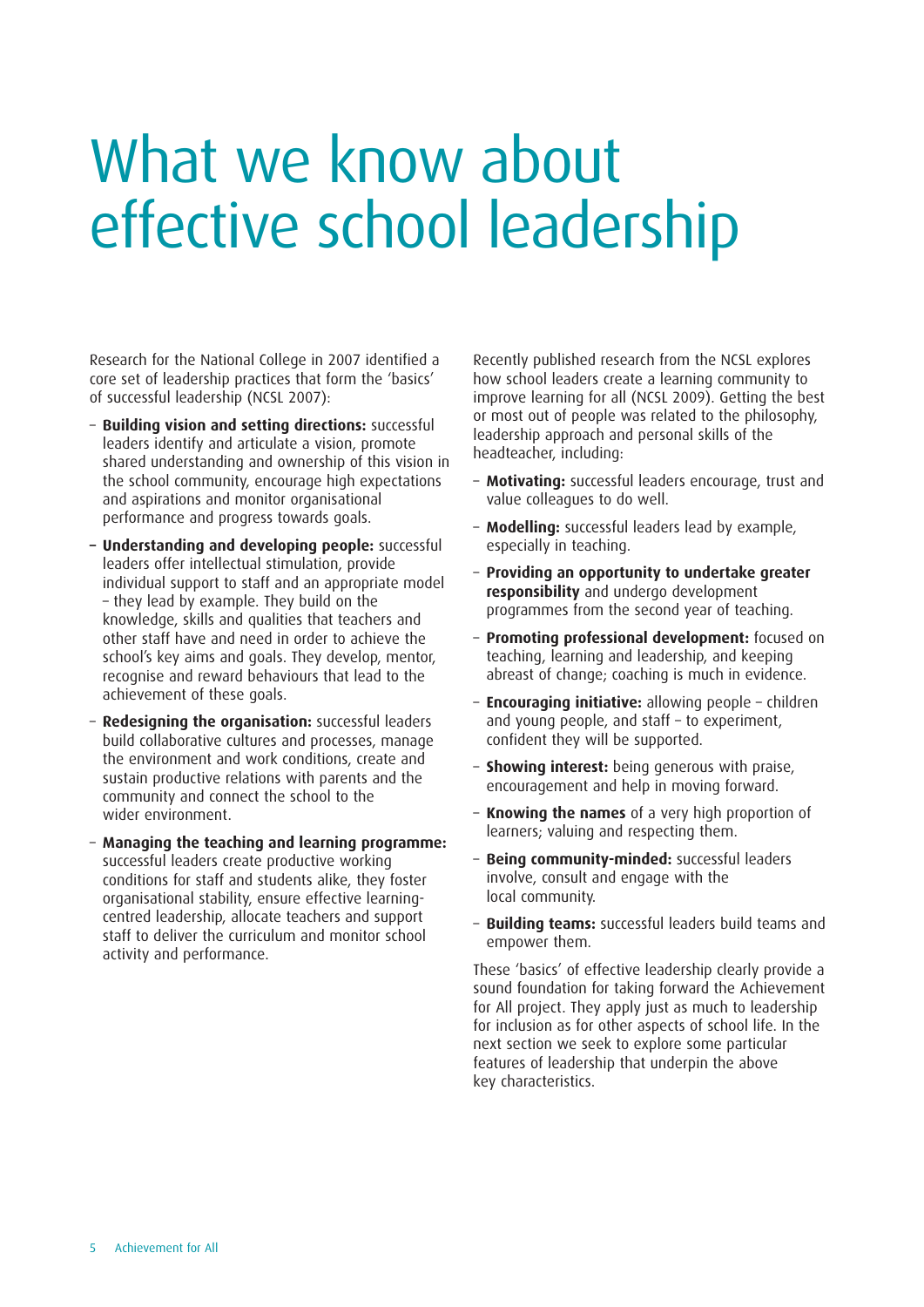### <span id="page-4-0"></span>What we know about effective school leadership

Research for the National College in 2007 identified a core set of leadership practices that form the 'basics' of successful leadership (NCSL 2007):

- **Building vision and setting directions:** successful leaders identify and articulate a vision, promote shared understanding and ownership of this vision in the school community, encourage high expectations and aspirations and monitor organisational performance and progress towards goals.
- **– Understanding and developing people:** successful leaders offer intellectual stimulation, provide individual support to staff and an appropriate model – they lead by example. They build on the knowledge, skills and qualities that teachers and other staff have and need in order to achieve the school's key aims and goals. They develop, mentor, recognise and reward behaviours that lead to the achievement of these goals.
- **Redesigning the organisation:** successful leaders build collaborative cultures and processes, manage the environment and work conditions, create and sustain productive relations with parents and the community and connect the school to the wider environment.
- **Managing the teaching and learning programme:** successful leaders create productive working conditions for staff and students alike, they foster organisational stability, ensure effective learningcentred leadership, allocate teachers and support staff to deliver the curriculum and monitor school activity and performance.

Recently published research from the NCSL explores how school leaders create a learning community to improve learning for all (NCSL 2009). Getting the best or most out of people was related to the philosophy, leadership approach and personal skills of the headteacher, including:

- **Motivating:** successful leaders encourage, trust and value colleagues to do well.
- **Modelling:** successful leaders lead by example, especially in teaching.
- **Providing an opportunity to undertake greater responsibility** and undergo development programmes from the second year of teaching.
- **Promoting professional development:** focused on teaching, learning and leadership, and keeping abreast of change; coaching is much in evidence.
- **Encouraging initiative:** allowing people children and young people, and staff – to experiment, confident they will be supported.
- **Showing interest:** being generous with praise, encouragement and help in moving forward.
- **Knowing the names** of a very high proportion of learners; valuing and respecting them.
- **Being community-minded:** successful leaders involve, consult and engage with the local community.
- **Building teams:** successful leaders build teams and empower them.

These 'basics' of effective leadership clearly provide a sound foundation for taking forward the Achievement for All project. They apply just as much to leadership for inclusion as for other aspects of school life. In the next section we seek to explore some particular features of leadership that underpin the above key characteristics.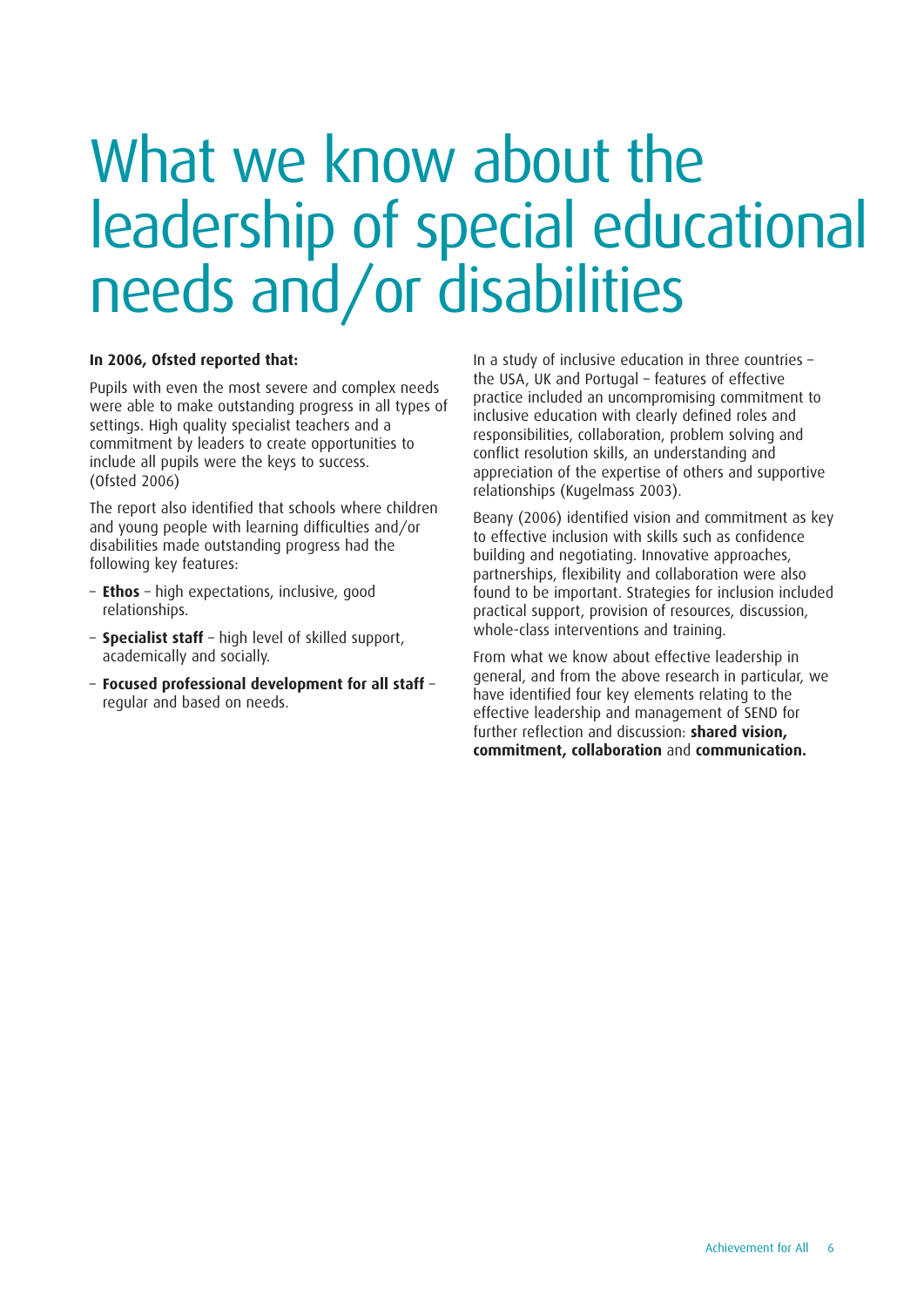### <span id="page-5-0"></span>What we know about the leadership of special educational needs and/or disabilities

#### **In 2006, Ofsted reported that:**

Pupils with even the most severe and complex needs were able to make outstanding progress in all types of settings. High quality specialist teachers and a commitment by leaders to create opportunities to include all pupils were the keys to success. (Ofsted 2006)

The report also identified that schools where children and young people with learning difficulties and/or disabilities made outstanding progress had the following key features:

- **Ethos** high expectations, inclusive, good relationships.
- **Specialist staff** high level of skilled support, academically and socially.
- **Focused professional development for all staff** regular and based on needs.

In a study of inclusive education in three countries – the USA, UK and Portugal – features of effective practice included an uncompromising commitment to inclusive education with clearly defined roles and responsibilities, collaboration, problem solving and conflict resolution skills, an understanding and appreciation of the expertise of others and supportive relationships (Kugelmass 2003).

Beany (2006) identified vision and commitment as key to effective inclusion with skills such as confidence building and negotiating. Innovative approaches, partnerships, flexibility and collaboration were also found to be important. Strategies for inclusion included practical support, provision of resources, discussion, whole-class interventions and training.

From what we know about effective leadership in general, and from the above research in particular, we have identified four key elements relating to the effective leadership and management of SEND for further reflection and discussion: **shared vision, commitment, collaboration** and **communication.**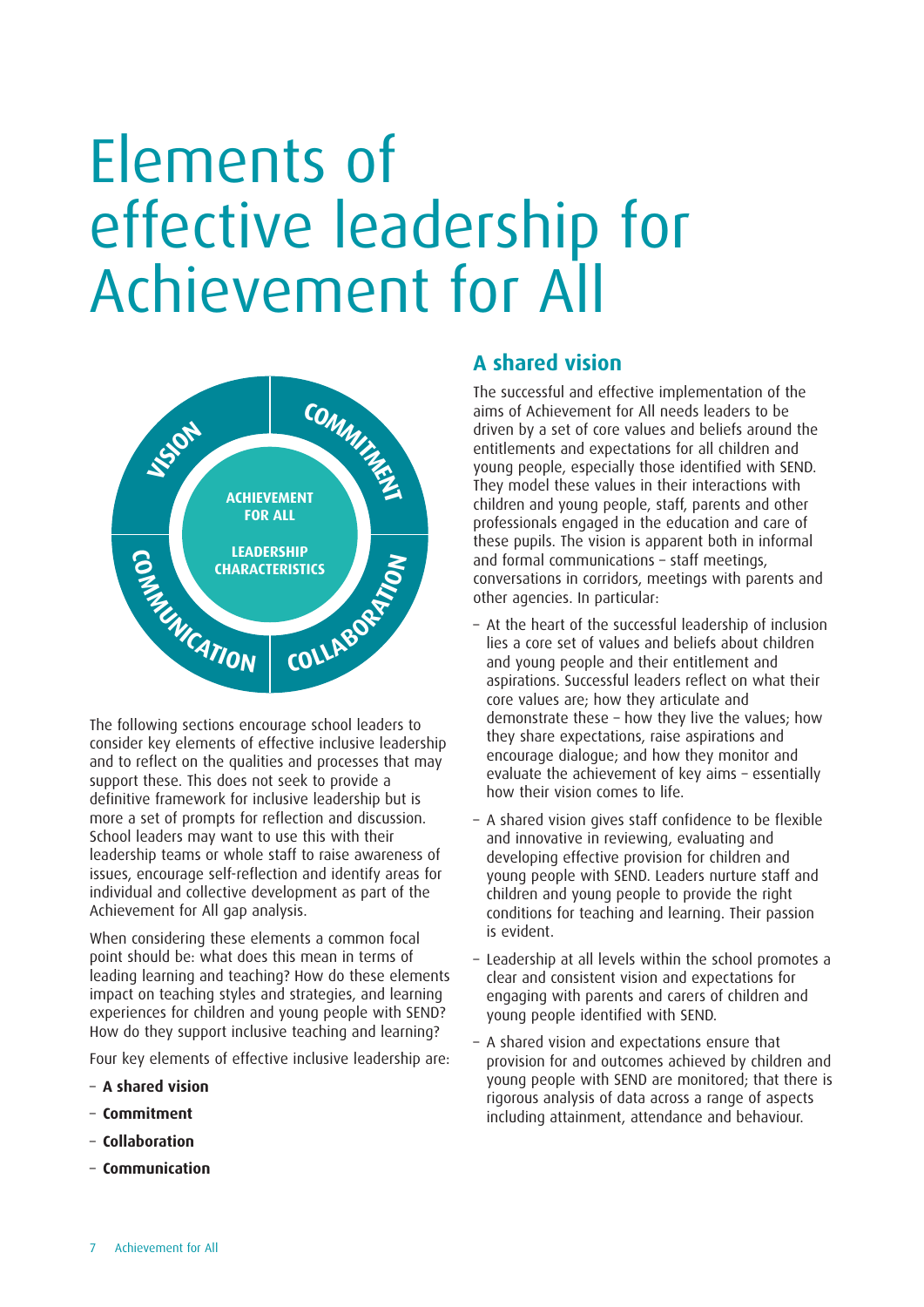<span id="page-6-0"></span>

The following sections encourage school leaders to consider key elements of effective inclusive leadership and to reflect on the qualities and processes that may support these. This does not seek to provide a definitive framework for inclusive leadership but is more a set of prompts for reflection and discussion. School leaders may want to use this with their leadership teams or whole staff to raise awareness of issues, encourage self-reflection and identify areas for individual and collective development as part of the Achievement for All gap analysis.

When considering these elements a common focal point should be: what does this mean in terms of leading learning and teaching? How do these elements impact on teaching styles and strategies, and learning experiences for children and young people with SEND? How do they support inclusive teaching and learning?

Four key elements of effective inclusive leadership are:

- **A shared vision**
- **Commitment**
- **Collaboration**
- **Communication**

#### **A shared vision**

The successful and effective implementation of the aims of Achievement for All needs leaders to be driven by a set of core values and beliefs around the entitlements and expectations for all children and young people, especially those identified with SEND. They model these values in their interactions with children and young people, staff, parents and other professionals engaged in the education and care of these pupils. The vision is apparent both in informal and formal communications – staff meetings, conversations in corridors, meetings with parents and other agencies. In particular:

- At the heart of the successful leadership of inclusion lies a core set of values and beliefs about children and young people and their entitlement and aspirations. Successful leaders reflect on what their core values are; how they articulate and demonstrate these – how they live the values; how they share expectations, raise aspirations and encourage dialogue; and how they monitor and evaluate the achievement of key aims – essentially how their vision comes to life.
- A shared vision gives staff confidence to be flexible and innovative in reviewing, evaluating and developing effective provision for children and young people with SEND. Leaders nurture staff and children and young people to provide the right conditions for teaching and learning. Their passion is evident.
- Leadership at all levels within the school promotes a clear and consistent vision and expectations for engaging with parents and carers of children and young people identified with SEND.
- A shared vision and expectations ensure that provision for and outcomes achieved by children and young people with SEND are monitored; that there is rigorous analysis of data across a range of aspects including attainment, attendance and behaviour.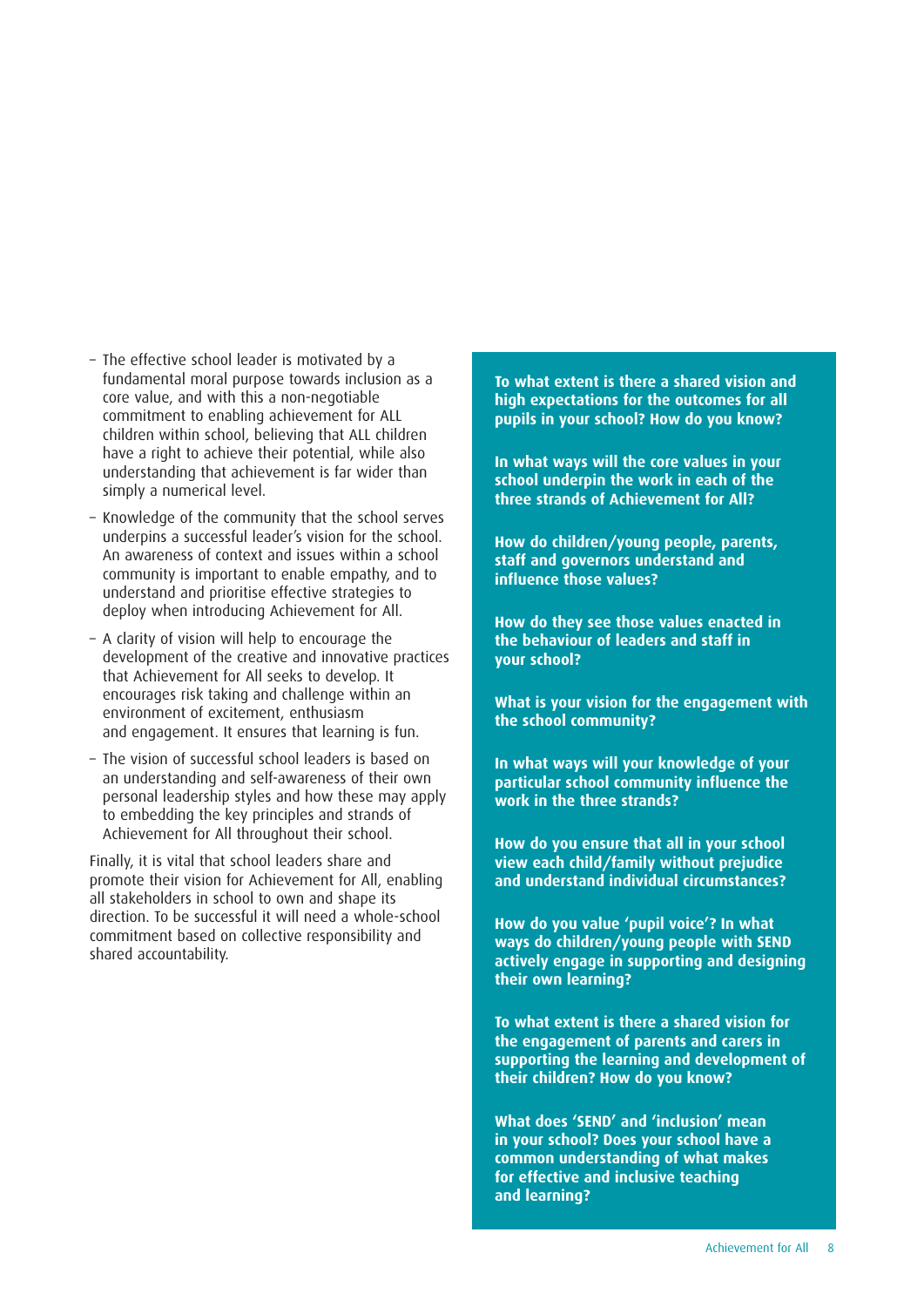- The effective school leader is motivated by a fundamental moral purpose towards inclusion as a core value, and with this a non-negotiable commitment to enabling achievement for ALL children within school, believing that ALL children have a right to achieve their potential, while also understanding that achievement is far wider than simply a numerical level.
- Knowledge of the community that the school serves underpins a successful leader's vision for the school. An awareness of context and issues within a school community is important to enable empathy, and to understand and prioritise effective strategies to deploy when introducing Achievement for All.
- A clarity of vision will help to encourage the development of the creative and innovative practices that Achievement for All seeks to develop. It encourages risk taking and challenge within an environment of excitement, enthusiasm and engagement. It ensures that learning is fun.
- The vision of successful school leaders is based on an understanding and self-awareness of their own personal leadership styles and how these may apply to embedding the key principles and strands of Achievement for All throughout their school.

Finally, it is vital that school leaders share and promote their vision for Achievement for All, enabling all stakeholders in school to own and shape its direction. To be successful it will need a whole-school commitment based on collective responsibility and shared accountability.

**To what extent is there a shared vision and high expectations for the outcomes for all pupils in your school? How do you know?**

**In what ways will the core values in your school underpin the work in each of the three strands of Achievement for All?**

**How do children/young people, parents, staff and governors understand and influence those values?**

**How do they see those values enacted in the behaviour of leaders and staff in your school?**

**What is your vision for the engagement with the school community?**

**In what ways will your knowledge of your particular school community influence the work in the three strands?**

**How do you ensure that all in your school view each child/family without prejudice and understand individual circumstances?**

**How do you value 'pupil voice'? In what ways do children/young people with SEND actively engage in supporting and designing their own learning?**

**To what extent is there a shared vision for the engagement of parents and carers in supporting the learning and development of their children? How do you know?**

**What does 'SEND' and 'inclusion' mean in your school? Does your school have a common understanding of what makes for effective and inclusive teaching and learning?**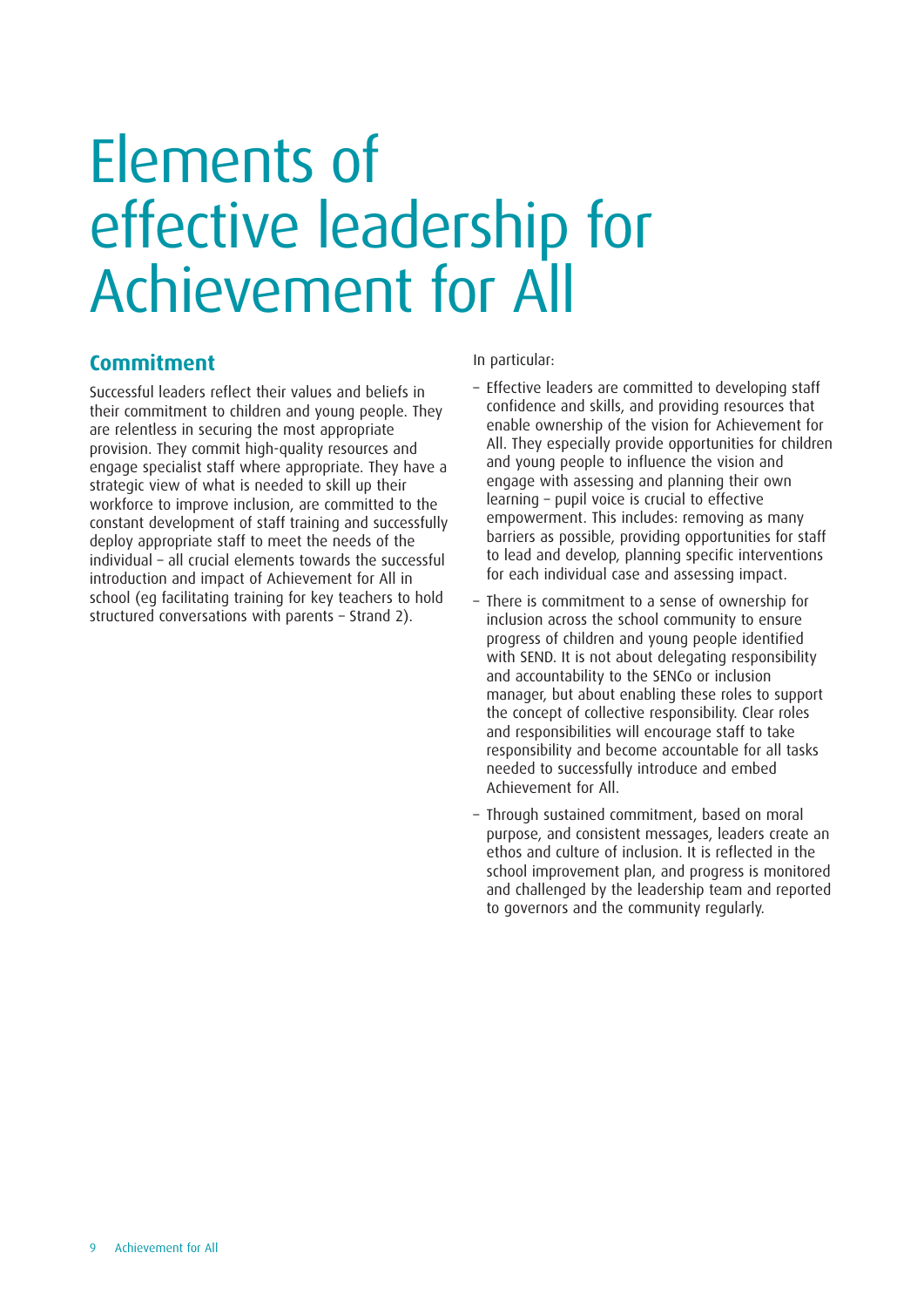#### **Commitment**

Successful leaders reflect their values and beliefs in their commitment to children and young people. They are relentless in securing the most appropriate provision. They commit high-quality resources and engage specialist staff where appropriate. They have a strategic view of what is needed to skill up their workforce to improve inclusion, are committed to the constant development of staff training and successfully deploy appropriate staff to meet the needs of the individual – all crucial elements towards the successful introduction and impact of Achievement for All in school (eg facilitating training for key teachers to hold structured conversations with parents – Strand 2).

In particular:

- Effective leaders are committed to developing staff confidence and skills, and providing resources that enable ownership of the vision for Achievement for All. They especially provide opportunities for children and young people to influence the vision and engage with assessing and planning their own learning – pupil voice is crucial to effective empowerment. This includes: removing as many barriers as possible, providing opportunities for staff to lead and develop, planning specific interventions for each individual case and assessing impact.
- There is commitment to a sense of ownership for inclusion across the school community to ensure progress of children and young people identified with SEND. It is not about delegating responsibility and accountability to the SENCo or inclusion manager, but about enabling these roles to support the concept of collective responsibility. Clear roles and responsibilities will encourage staff to take responsibility and become accountable for all tasks needed to successfully introduce and embed Achievement for All.
- Through sustained commitment, based on moral purpose, and consistent messages, leaders create an ethos and culture of inclusion. It is reflected in the school improvement plan, and progress is monitored and challenged by the leadership team and reported to governors and the community regularly.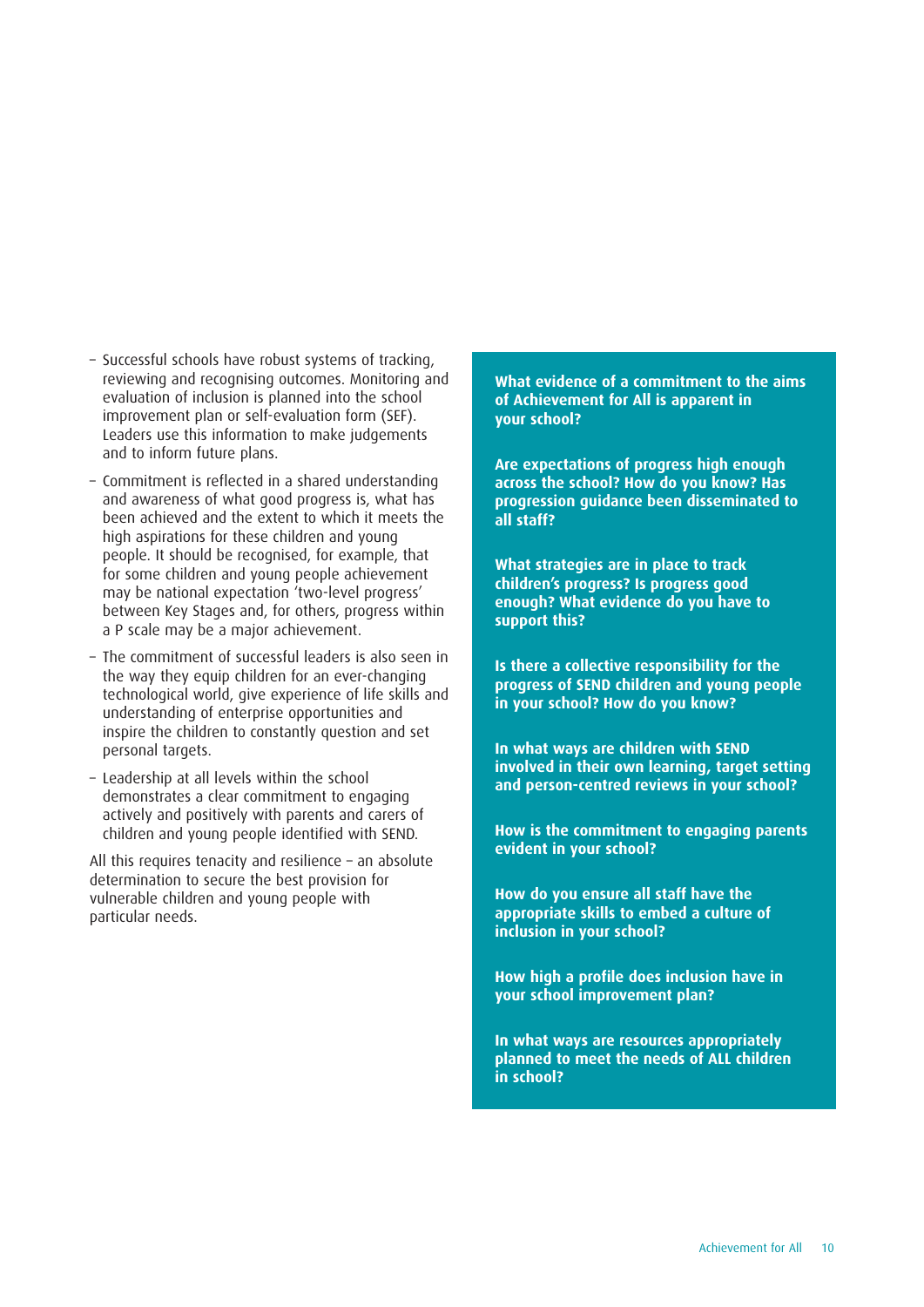- Successful schools have robust systems of tracking, reviewing and recognising outcomes. Monitoring and evaluation of inclusion is planned into the school improvement plan or self-evaluation form (SEF). Leaders use this information to make judgements and to inform future plans.
- Commitment is reflected in a shared understanding and awareness of what good progress is, what has been achieved and the extent to which it meets the high aspirations for these children and young people. It should be recognised, for example, that for some children and young people achievement may be national expectation 'two-level progress' between Key Stages and, for others, progress within a P scale may be a major achievement.
- The commitment of successful leaders is also seen in the way they equip children for an ever-changing technological world, give experience of life skills and understanding of enterprise opportunities and inspire the children to constantly question and set personal targets.
- Leadership at all levels within the school demonstrates a clear commitment to engaging actively and positively with parents and carers of children and young people identified with SEND.

All this requires tenacity and resilience – an absolute determination to secure the best provision for vulnerable children and young people with particular needs.

**What evidence of a commitment to the aims of Achievement for All is apparent in your school?**

**Are expectations of progress high enough across the school? How do you know? Has progression guidance been disseminated to all staff?**

**What strategies are in place to track children's progress? Is progress good enough? What evidence do you have to support this?**

**Is there a collective responsibility for the progress of SEND children and young people in your school? How do you know?**

**In what ways are children with SEND involved in their own learning, target setting and person-centred reviews in your school?**

**How is the commitment to engaging parents evident in your school?**

**How do you ensure all staff have the appropriate skills to embed a culture of inclusion in your school?**

**How high a profile does inclusion have in your school improvement plan?**

**In what ways are resources appropriately planned to meet the needs of ALL children in school?**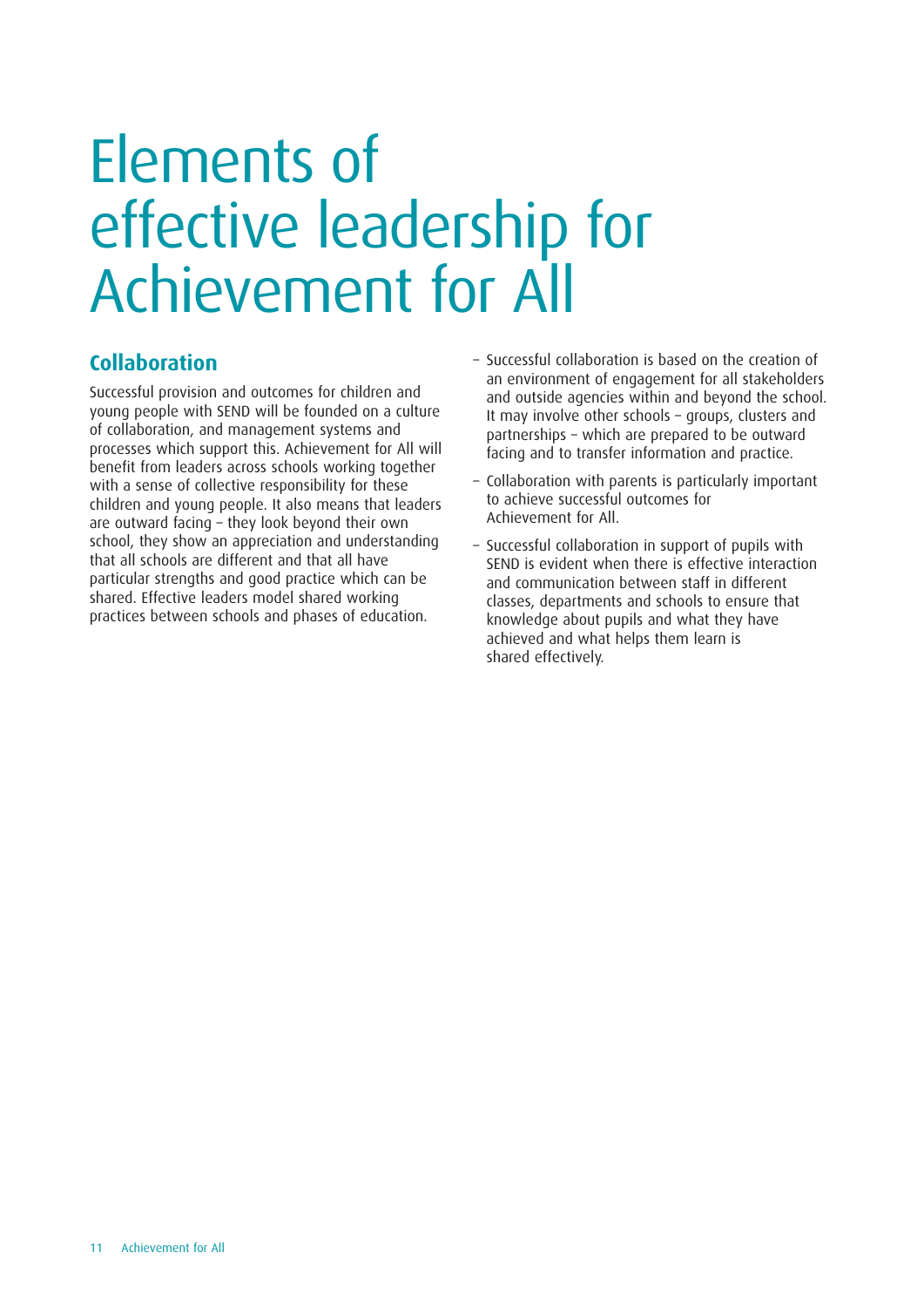#### **Collaboration**

Successful provision and outcomes for children and young people with SEND will be founded on a culture of collaboration, and management systems and processes which support this. Achievement for All will benefit from leaders across schools working together with a sense of collective responsibility for these children and young people. It also means that leaders are outward facing – they look beyond their own school, they show an appreciation and understanding that all schools are different and that all have particular strengths and good practice which can be shared. Effective leaders model shared working practices between schools and phases of education.

- Successful collaboration is based on the creation of an environment of engagement for all stakeholders and outside agencies within and beyond the school. It may involve other schools – groups, clusters and partnerships – which are prepared to be outward facing and to transfer information and practice.
- Collaboration with parents is particularly important to achieve successful outcomes for Achievement for All.
- Successful collaboration in support of pupils with SEND is evident when there is effective interaction and communication between staff in different classes, departments and schools to ensure that knowledge about pupils and what they have achieved and what helps them learn is shared effectively.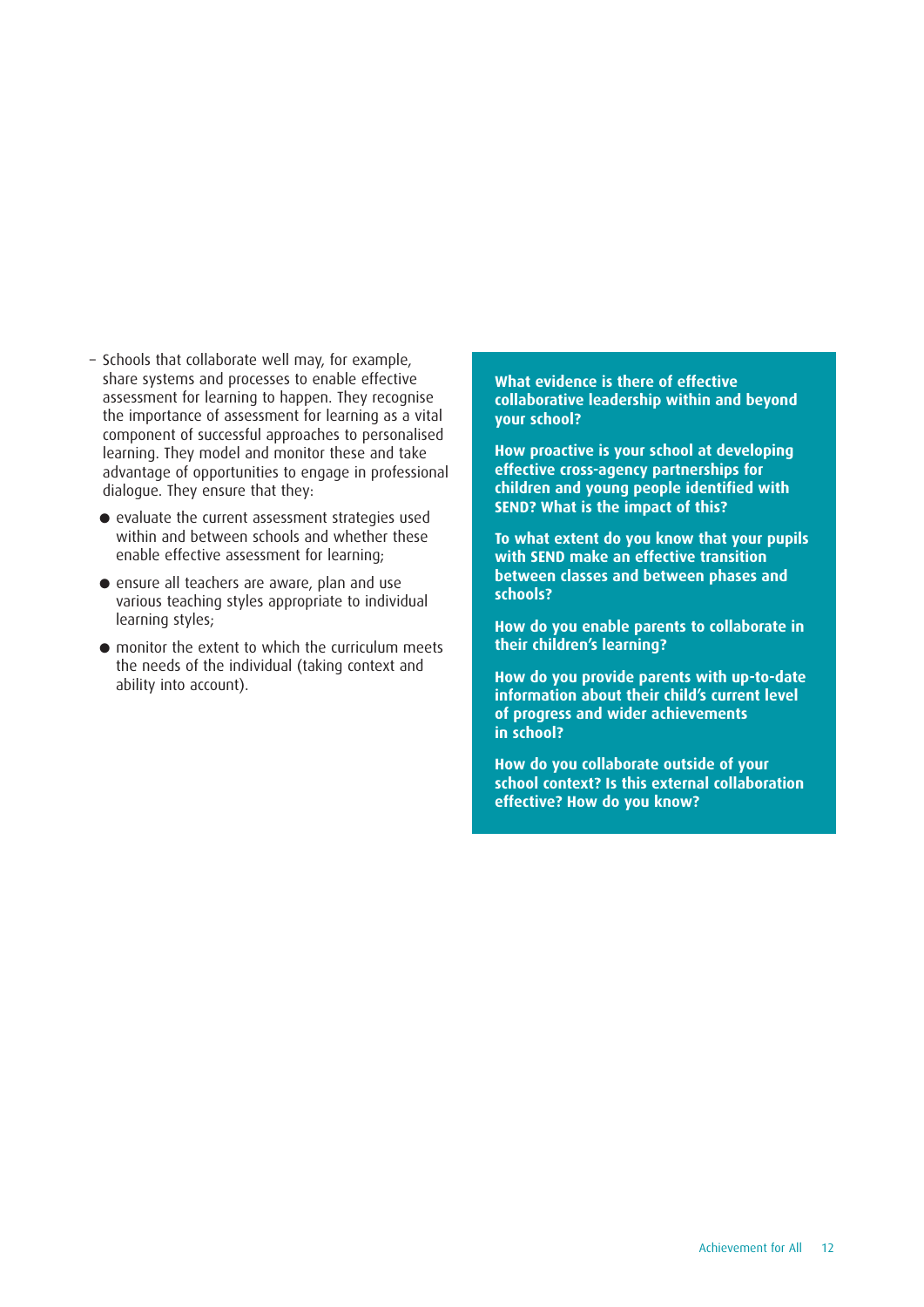- Schools that collaborate well may, for example, share systems and processes to enable effective assessment for learning to happen. They recognise the importance of assessment for learning as a vital component of successful approaches to personalised learning. They model and monitor these and take advantage of opportunities to engage in professional dialogue. They ensure that they:
	- **•** evaluate the current assessment strategies used within and between schools and whether these enable effective assessment for learning;
	- **•** ensure all teachers are aware, plan and use various teaching styles appropriate to individual learning styles;
	- **•** monitor the extent to which the curriculum meets the needs of the individual (taking context and ability into account).

**What evidence is there of effective collaborative leadership within and beyond your school?**

**How proactive is your school at developing effective cross-agency partnerships for children and young people identified with SEND? What is the impact of this?**

**To what extent do you know that your pupils with SEND make an effective transition between classes and between phases and schools?**

**How do you enable parents to collaborate in their children's learning?**

**How do you provide parents with up-to-date information about their child's current level of progress and wider achievements in school?**

**How do you collaborate outside of your school context? Is this external collaboration effective? How do you know?**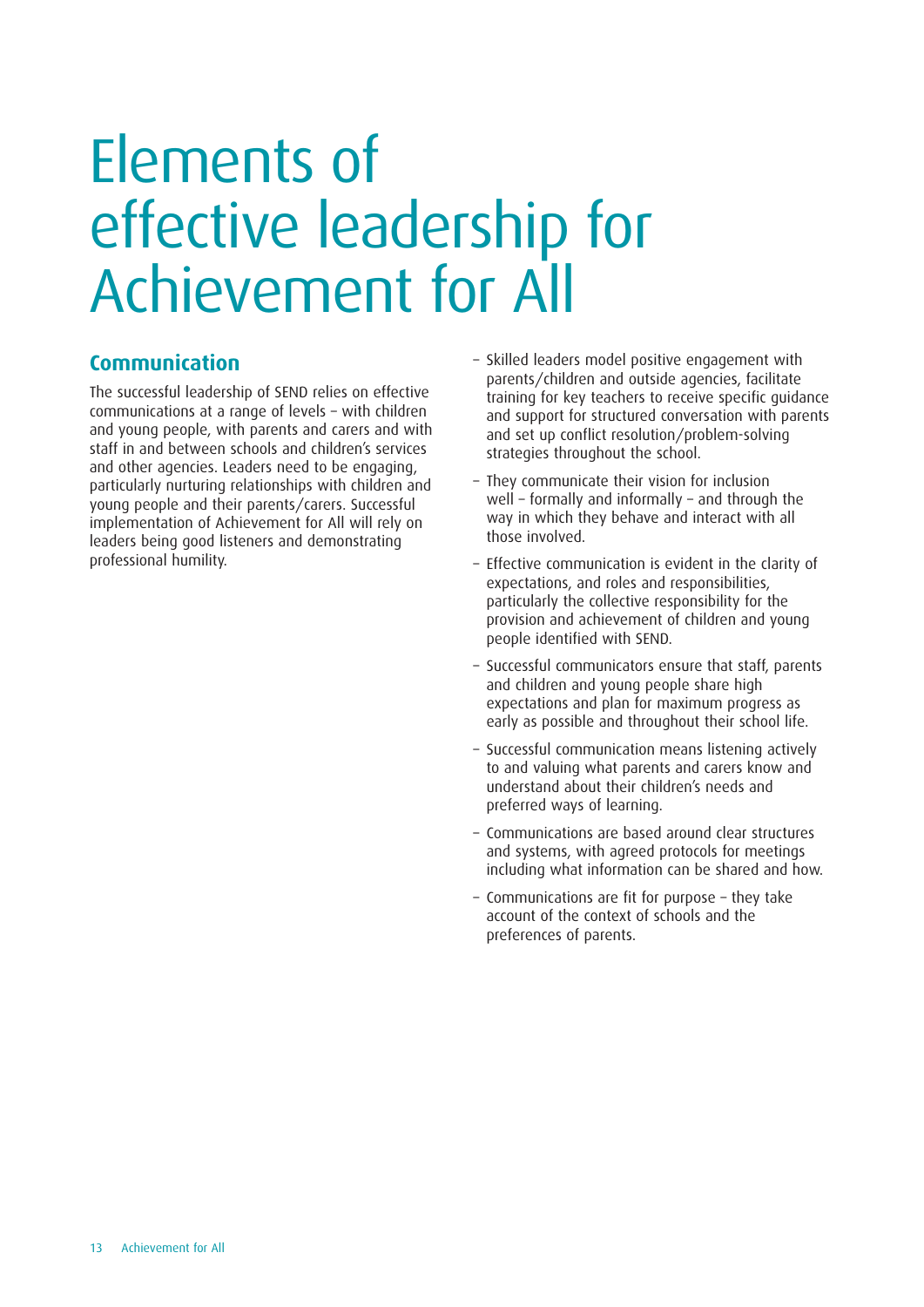#### **Communication**

The successful leadership of SEND relies on effective communications at a range of levels – with children and young people, with parents and carers and with staff in and between schools and children's services and other agencies. Leaders need to be engaging, particularly nurturing relationships with children and young people and their parents/carers. Successful implementation of Achievement for All will rely on leaders being good listeners and demonstrating professional humility.

- Skilled leaders model positive engagement with parents/children and outside agencies, facilitate training for key teachers to receive specific guidance and support for structured conversation with parents and set up conflict resolution/problem-solving strategies throughout the school.
- They communicate their vision for inclusion well – formally and informally – and through the way in which they behave and interact with all those involved.
- Effective communication is evident in the clarity of expectations, and roles and responsibilities, particularly the collective responsibility for the provision and achievement of children and young people identified with SEND.
- Successful communicators ensure that staff, parents and children and young people share high expectations and plan for maximum progress as early as possible and throughout their school life.
- Successful communication means listening actively to and valuing what parents and carers know and understand about their children's needs and preferred ways of learning.
- Communications are based around clear structures and systems, with agreed protocols for meetings including what information can be shared and how.
- Communications are fit for purpose they take account of the context of schools and the preferences of parents.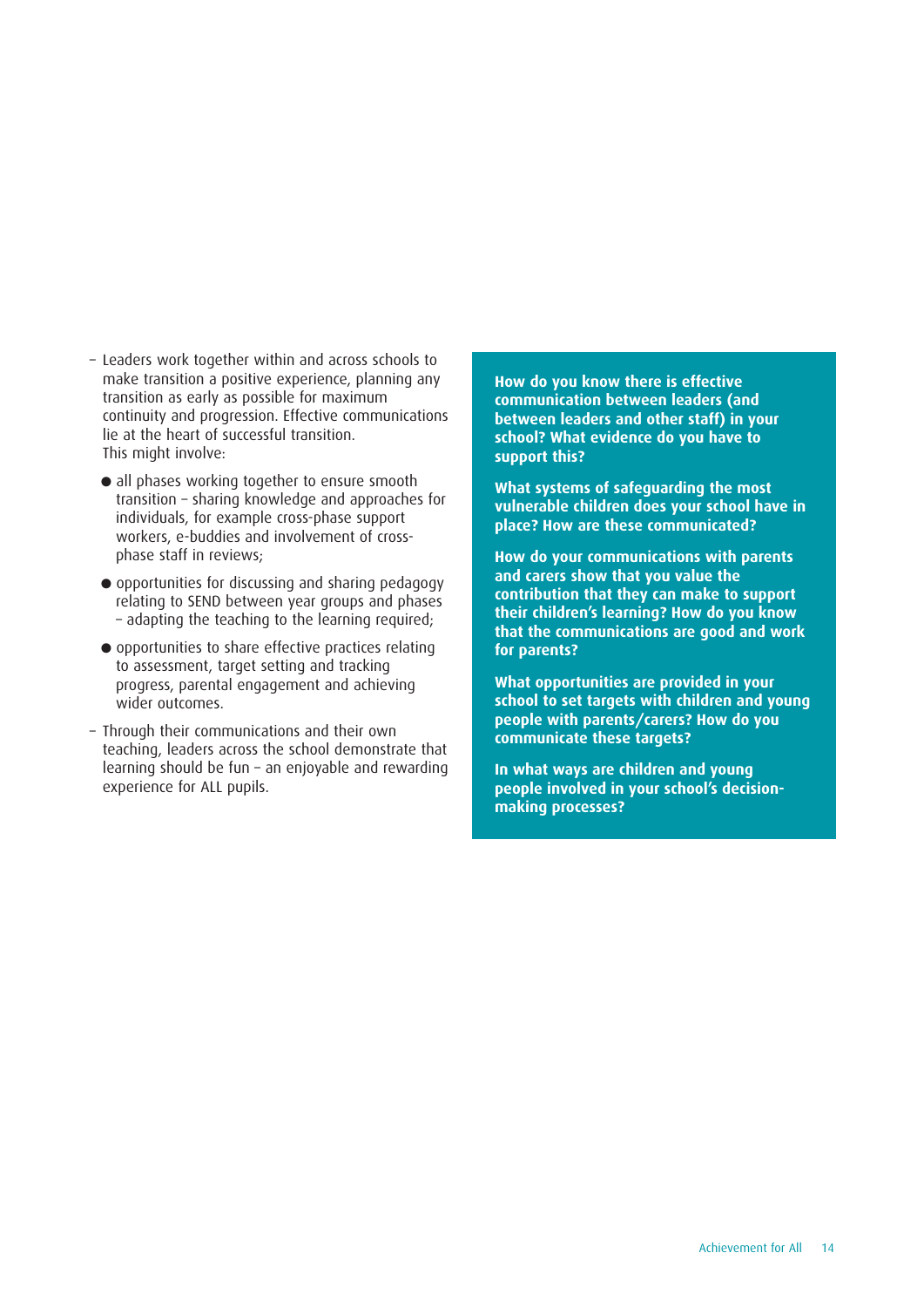- Leaders work together within and across schools to make transition a positive experience, planning any transition as early as possible for maximum continuity and progression. Effective communications lie at the heart of successful transition. This might involve:
	- **•** all phases working together to ensure smooth transition – sharing knowledge and approaches for individuals, for example cross-phase support workers, e-buddies and involvement of crossphase staff in reviews;
	- **•** opportunities for discussing and sharing pedagogy relating to SEND between year groups and phases – adapting the teaching to the learning required;
	- **•** opportunities to share effective practices relating to assessment, target setting and tracking progress, parental engagement and achieving wider outcomes.
- Through their communications and their own teaching, leaders across the school demonstrate that learning should be fun – an enjoyable and rewarding experience for ALL pupils.

**How do you know there is effective communication between leaders (and between leaders and other staff) in your school? What evidence do you have to support this?**

**What systems of safeguarding the most vulnerable children does your school have in place? How are these communicated?**

**How do your communications with parents and carers show that you value the contribution that they can make to support their children's learning? How do you know that the communications are good and work for parents?**

**What opportunities are provided in your school to set targets with children and young people with parents/carers? How do you communicate these targets?**

**In what ways are children and young people involved in your school's decisionmaking processes?**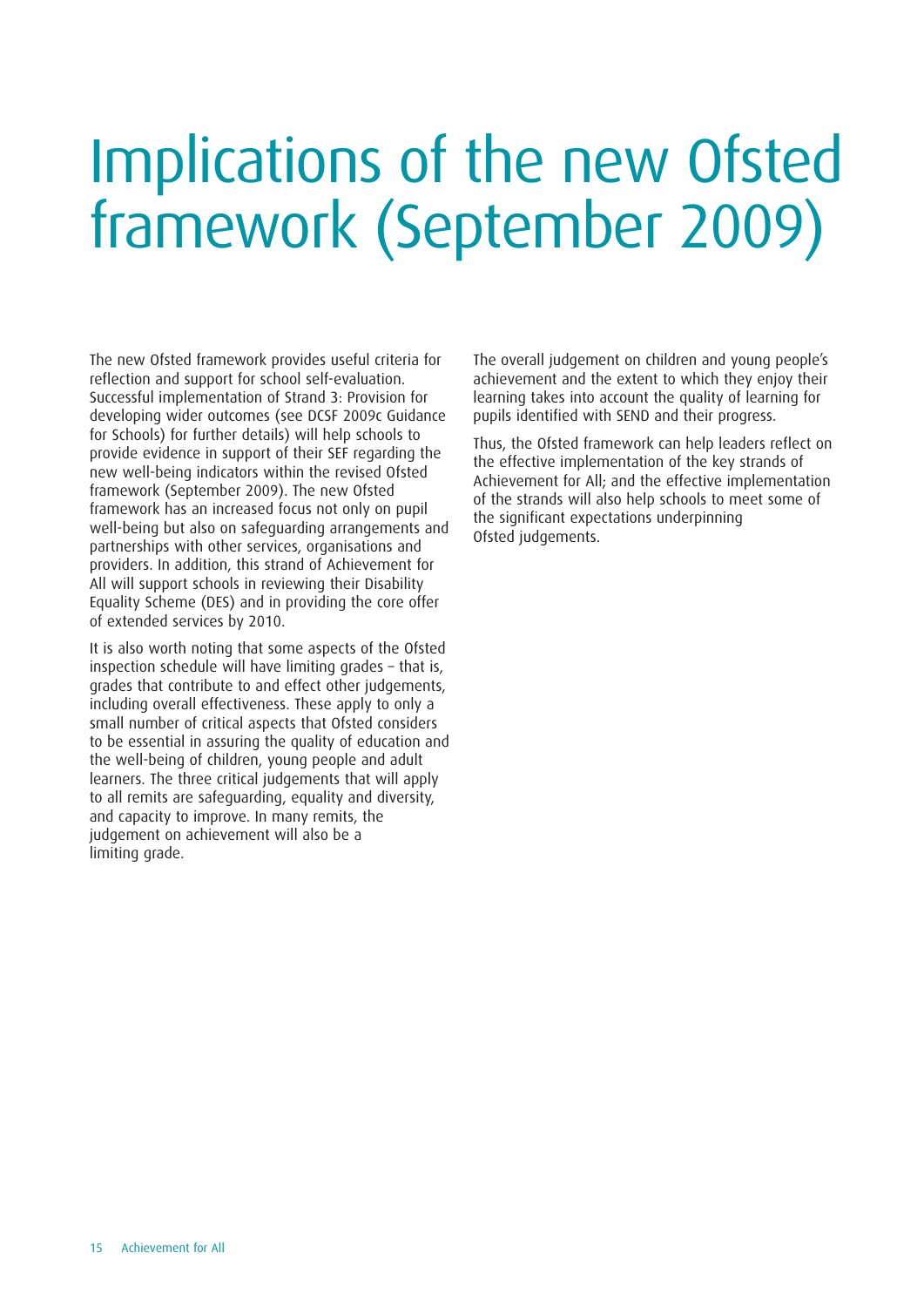## <span id="page-14-0"></span>Implications of the new Ofsted framework (September 2009)

The new Ofsted framework provides useful criteria for reflection and support for school self-evaluation. Successful implementation of Strand 3: Provision for developing wider outcomes (see DCSF 2009c Guidance for Schools) for further details) will help schools to provide evidence in support of their SEF regarding the new well-being indicators within the revised Ofsted framework (September 2009). The new Ofsted framework has an increased focus not only on pupil well-being but also on safeguarding arrangements and partnerships with other services, organisations and providers. In addition, this strand of Achievement for All will support schools in reviewing their Disability Equality Scheme (DES) and in providing the core offer of extended services by 2010.

It is also worth noting that some aspects of the Ofsted inspection schedule will have limiting grades – that is, grades that contribute to and effect other judgements, including overall effectiveness. These apply to only a small number of critical aspects that Ofsted considers to be essential in assuring the quality of education and the well-being of children, young people and adult learners. The three critical judgements that will apply to all remits are safeguarding, equality and diversity, and capacity to improve. In many remits, the judgement on achievement will also be a limiting grade.

The overall judgement on children and young people's achievement and the extent to which they enjoy their learning takes into account the quality of learning for pupils identified with SEND and their progress.

Thus, the Ofsted framework can help leaders reflect on the effective implementation of the key strands of Achievement for All; and the effective implementation of the strands will also help schools to meet some of the significant expectations underpinning Ofsted judgements.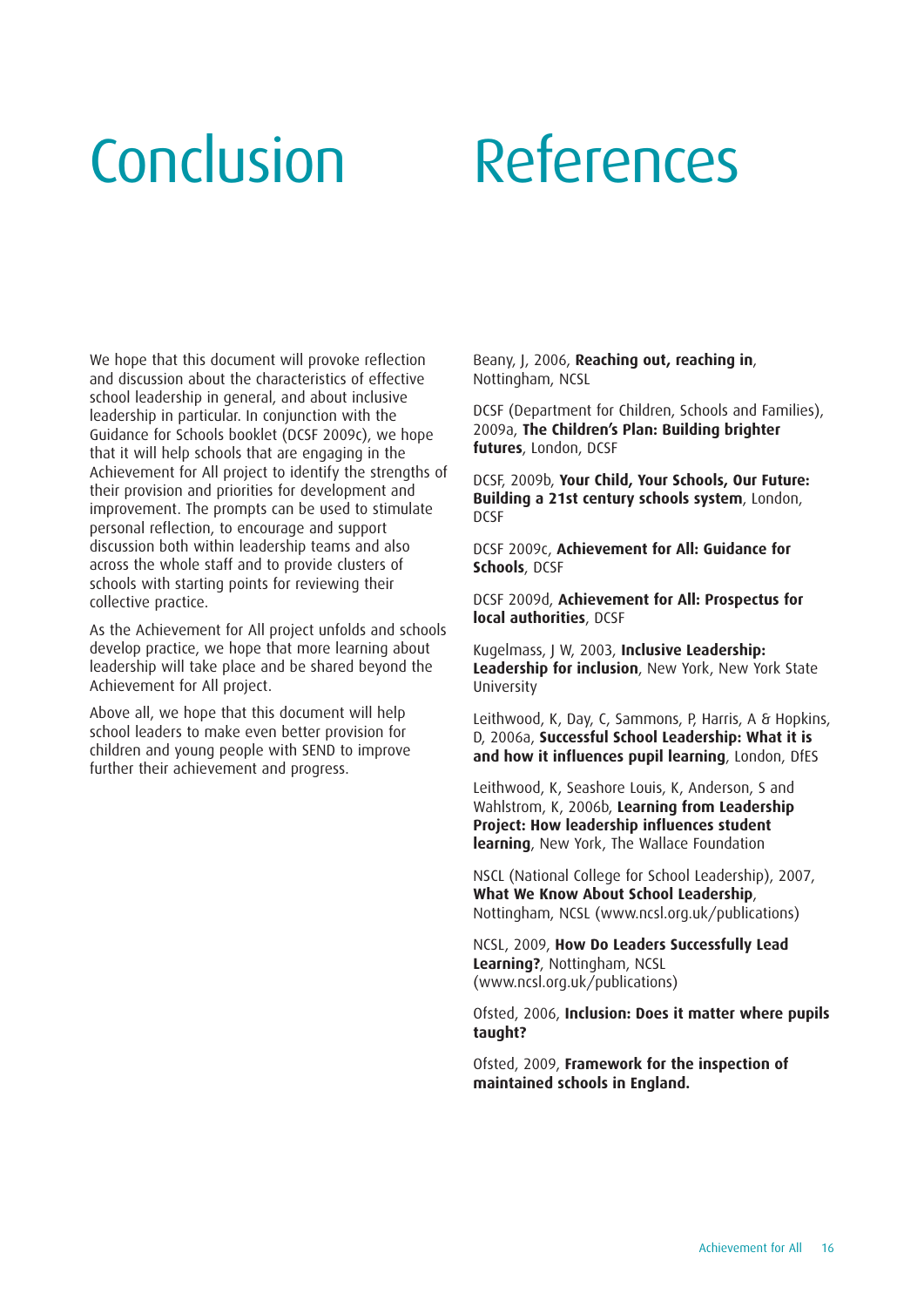### <span id="page-15-0"></span>Conclusion References

We hope that this document will provoke reflection and discussion about the characteristics of effective school leadership in general, and about inclusive leadership in particular. In conjunction with the Guidance for Schools booklet (DCSF 2009c), we hope that it will help schools that are engaging in the Achievement for All project to identify the strengths of their provision and priorities for development and improvement. The prompts can be used to stimulate personal reflection, to encourage and support discussion both within leadership teams and also across the whole staff and to provide clusters of schools with starting points for reviewing their collective practice.

As the Achievement for All project unfolds and schools develop practice, we hope that more learning about leadership will take place and be shared beyond the Achievement for All project.

Above all, we hope that this document will help school leaders to make even better provision for children and young people with SEND to improve further their achievement and progress.

Beany, J, 2006, **Reaching out, reaching in**, Nottingham, NCSL

DCSF (Department for Children, Schools and Families), 2009a, **The Children's Plan: Building brighter futures**, London, DCSF

DCSF, 2009b, **Your Child, Your Schools, Our Future: Building a 21st century schools system**, London, DCSF

DCSF 2009c, **Achievement for All: Guidance for Schools**, DCSF

DCSF 2009d, **Achievement for All: Prospectus for local authorities**, DCSF

Kugelmass, J W, 2003, **Inclusive Leadership: Leadership for inclusion**, New York, New York State University

Leithwood, K, Day, C, Sammons, P, Harris, A & Hopkins, D, 2006a, **Successful School Leadership: What it is and how it influences pupil learning**, London, DfES

Leithwood, K, Seashore Louis, K, Anderson, S and Wahlstrom, K, 2006b, **Learning from Leadership Project: How leadership influences student learning**, New York, The Wallace Foundation

NSCL (National College for School Leadership), 2007, **What We Know About School Leadership**, Nottingham, NCSL (www.ncsl.org.uk/publications)

NCSL, 2009, **How Do Leaders Successfully Lead Learning?**, Nottingham, NCSL (www.ncsl.org.uk/publications)

Ofsted, 2006, **Inclusion: Does it matter where pupils taught?**

Ofsted, 2009, **Framework for the inspection of maintained schools in England.**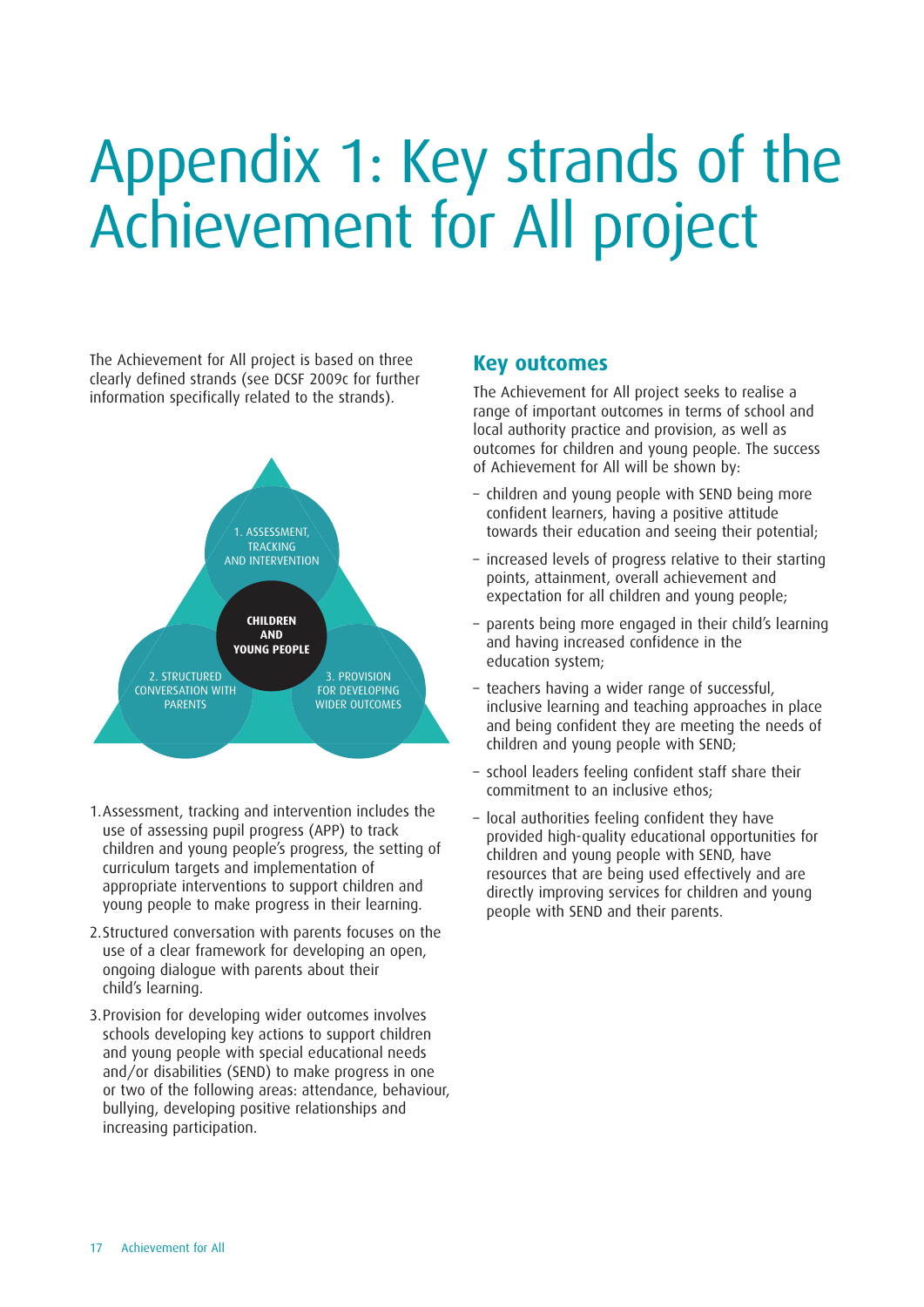## <span id="page-16-0"></span>Appendix 1: Key strands of the Achievement for All project

The Achievement for All project is based on three clearly defined strands (see DCSF 2009c for further information specifically related to the strands).



- 1.Assessment, tracking and intervention includes the use of assessing pupil progress (APP) to track children and young people's progress, the setting of curriculum targets and implementation of appropriate interventions to support children and young people to make progress in their learning.
- 2.Structured conversation with parents focuses on the use of a clear framework for developing an open, ongoing dialogue with parents about their child's learning.
- 3.Provision for developing wider outcomes involves schools developing key actions to support children and young people with special educational needs and/or disabilities (SEND) to make progress in one or two of the following areas: attendance, behaviour, bullying, developing positive relationships and increasing participation.

#### **Key outcomes**

The Achievement for All project seeks to realise a range of important outcomes in terms of school and local authority practice and provision, as well as outcomes for children and young people. The success of Achievement for All will be shown by:

- children and young people with SEND being more confident learners, having a positive attitude towards their education and seeing their potential;
- increased levels of progress relative to their starting points, attainment, overall achievement and expectation for all children and young people;
- parents being more engaged in their child's learning and having increased confidence in the education system;
- teachers having a wider range of successful, inclusive learning and teaching approaches in place and being confident they are meeting the needs of children and young people with SEND;
- school leaders feeling confident staff share their commitment to an inclusive ethos;
- local authorities feeling confident they have provided high-quality educational opportunities for children and young people with SEND, have resources that are being used effectively and are directly improving services for children and young people with SEND and their parents.